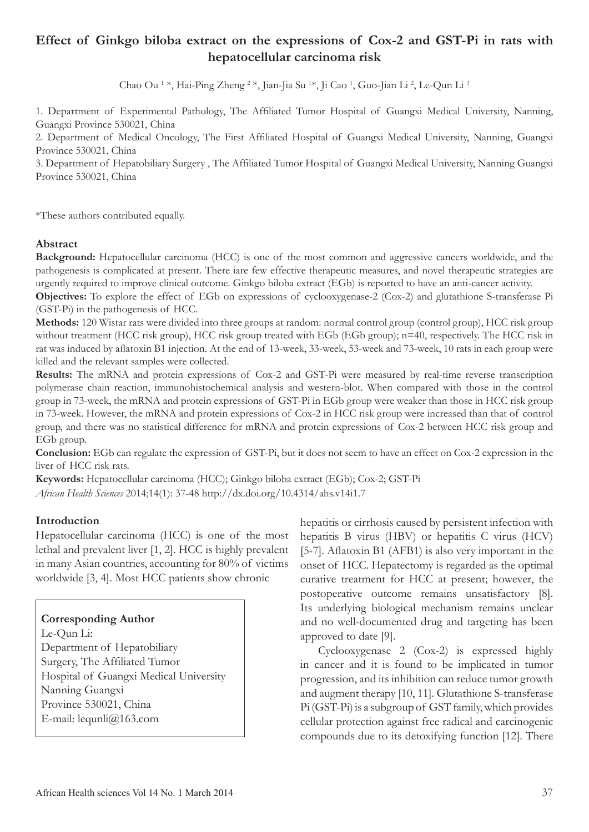# **Effect of Ginkgo biloba extract on the expressions of Cox-2 and GST-Pi in rats with hepatocellular carcinoma risk**

Chao Ou <sup>1</sup> \*, Hai-Ping Zheng <sup>2</sup> \*, Jian-Jia Su <sup>1</sup>\*, Ji Cao <sup>1</sup>, Guo-Jian Li <sup>2</sup>, Le-Qun Li <sup>3</sup>

1. Department of Experimental Pathology, The Affiliated Tumor Hospital of Guangxi Medical University, Nanning, Guangxi Province 530021, China

2. Department of Medical Oncology, The First Affiliated Hospital of Guangxi Medical University, Nanning, Guangxi Province 530021, China

3. Department of Hepatobiliary Surgery , The Affiliated Tumor Hospital of Guangxi Medical University, Nanning Guangxi Province 530021, China

\*These authors contributed equally.

#### **Abstract**

**Background:** Hepatocellular carcinoma (HCC) is one of the most common and aggressive cancers worldwide, and the pathogenesis is complicated at present. There iare few effective therapeutic measures, and novel therapeutic strategies are urgently required to improve clinical outcome. Ginkgo biloba extract (EGb) is reported to have an anti-cancer activity.

**Objectives:** To explore the effect of EGb on expressions of cyclooxygenase-2 (Cox-2) and glutathione S-transferase Pi (GST-Pi) in the pathogenesis of HCC.

**Methods:** 120 Wistar rats were divided into three groups at random: normal control group (control group), HCC risk group without treatment (HCC risk group), HCC risk group treated with EGb (EGb group); n=40, respectively. The HCC risk in rat was induced by aflatoxin B1 injection. At the end of 13-week, 33-week, 53-week and 73-week, 10 rats in each group were killed and the relevant samples were collected.

**Results:** The mRNA and protein expressions of Cox-2 and GST-Pi were measured by real-time reverse transcription polymerase chain reaction, immunohistochemical analysis and western-blot. When compared with those in the control group in 73-week, the mRNA and protein expressions of GST-Pi in EGb group were weaker than those in HCC risk group in 73-week. However, the mRNA and protein expressions of Cox-2 in HCC risk group were increased than that of control group, and there was no statistical difference for mRNA and protein expressions of Cox-2 between HCC risk group and EGb group.

**Conclusion:** EGb can regulate the expression of GST-Pi, but it does not seem to have an effect on Cox-2 expression in the liver of HCC risk rats.

**Keywords:** Hepatocellular carcinoma (HCC); Ginkgo biloba extract (EGb); Cox-2; GST-Pi

*African Health Sciences* 2014;14(1): 37-48 http://dx.doi.org/10.4314/ahs.v14i1.7

#### **Introduction**

Hepatocellular carcinoma (HCC) is one of the most lethal and prevalent liver [1, 2]. HCC is highly prevalent in many Asian countries, accounting for 80% of victims worldwide [3, 4]. Most HCC patients show chronic

#### **Corresponding Author**

Le-Qun Li: Department of Hepatobiliary Surgery, The Affiliated Tumor Hospital of Guangxi Medical University Nanning Guangxi Province 530021, China E-mail: lequnli@163.com

hepatitis or cirrhosis caused by persistent infection with hepatitis B virus (HBV) or hepatitis C virus (HCV) [5-7]. Aflatoxin B1 (AFB1) is also very important in the onset of HCC. Hepatectomy is regarded as the optimal curative treatment for HCC at present; however, the postoperative outcome remains unsatisfactory [8]. Its underlying biological mechanism remains unclear and no well-documented drug and targeting has been approved to date [9].

Cyclooxygenase 2 (Cox-2) is expressed highly in cancer and it is found to be implicated in tumor progression, and its inhibition can reduce tumor growth and augment therapy [10, 11]. Glutathione S-transferase Pi (GST-Pi) is a subgroup of GST family, which provides cellular protection against free radical and carcinogenic compounds due to its detoxifying function [12]. There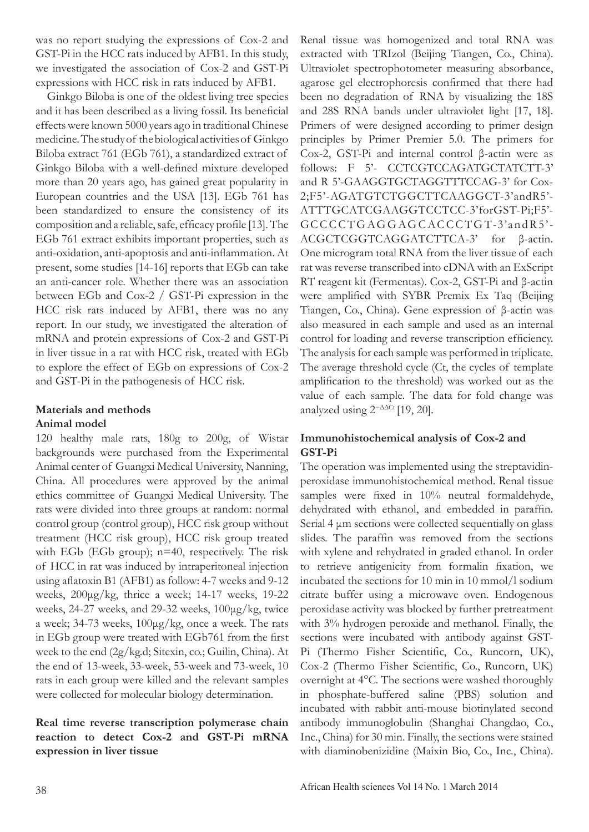was no report studying the expressions of Cox-2 and GST-Pi in the HCC rats induced by AFB1. In this study, we investigated the association of Cox-2 and GST-Pi expressions with HCC risk in rats induced by AFB1.

 Ginkgo Biloba is one of the oldest living tree species and it has been described as a living fossil. Its beneficial effects were known 5000 years ago in traditional Chinese medicine. The study of the biological activities of Ginkgo Biloba extract 761 (EGb 761), a standardized extract of Ginkgo Biloba with a well-defined mixture developed more than 20 years ago, has gained great popularity in European countries and the USA [13]. EGb 761 has been standardized to ensure the consistency of its composition and a reliable, safe, efficacy profile [13]. The EGb 761 extract exhibits important properties, such as anti-oxidation, anti-apoptosis and anti-inflammation. At present, some studies [14-16] reports that EGb can take an anti-cancer role. Whether there was an association between EGb and Cox-2 / GST-Pi expression in the HCC risk rats induced by AFB1, there was no any report. In our study, we investigated the alteration of mRNA and protein expressions of Cox-2 and GST-Pi in liver tissue in a rat with HCC risk, treated with EGb to explore the effect of EGb on expressions of Cox-2 and GST-Pi in the pathogenesis of HCC risk.

### **Materials and methods Animal model**

120 healthy male rats, 180g to 200g, of Wistar backgrounds were purchased from the Experimental Animal center of Guangxi Medical University, Nanning, China. All procedures were approved by the animal ethics committee of Guangxi Medical University. The rats were divided into three groups at random: normal control group (control group), HCC risk group without treatment (HCC risk group), HCC risk group treated with EGb (EGb group); n=40, respectively. The risk of HCC in rat was induced by intraperitoneal injection using aflatoxin B1 (AFB1) as follow: 4-7 weeks and 9-12 weeks, 200μg/kg, thrice a week; 14-17 weeks, 19-22 weeks, 24-27 weeks, and 29-32 weeks, 100μg/kg, twice a week; 34-73 weeks, 100μg/kg, once a week. The rats in EGb group were treated with EGb761 from the first week to the end (2g/kg.d; Sitexin, co.; Guilin, China). At the end of 13-week, 33-week, 53-week and 73-week, 10 rats in each group were killed and the relevant samples were collected for molecular biology determination.

## **Real time reverse transcription polymerase chain reaction to detect Cox-2 and GST-Pi mRNA expression in liver tissue**

Renal tissue was homogenized and total RNA was extracted with TRIzol (Beijing Tiangen, Co., China). Ultraviolet spectrophotometer measuring absorbance, agarose gel electrophoresis confirmed that there had been no degradation of RNA by visualizing the 18S and 28S RNA bands under ultraviolet light [17, 18]. Primers of were designed according to primer design principles by Primer Premier 5.0. The primers for Cox-2, GST-Pi and internal control β-actin were as follows: F 5'- CCTCGTCCAGATGCTATCTT-3' and R 5'-GAAGGTGCTAGGTTTCCAG-3' for Cox-2;F5'-AGATGTCTGGCTTCAAGGCT-3'andR5'- ATTTGCATCGAAGGTCCTCC-3'forGST-Pi;F5'- GCCCCTGAGGAGCACCCTGT-3'andR5'- ACGCTCGGTCAGGATCTTCA-3' for β-actin. One microgram total RNA from the liver tissue of each rat was reverse transcribed into cDNA with an ExScript RT reagent kit (Fermentas). Cox-2, GST-Pi and β-actin were amplified with SYBR Premix Ex Taq (Beijing Tiangen, Co., China). Gene expression of β-actin was also measured in each sample and used as an internal control for loading and reverse transcription efficiency. The analysis for each sample was performed in triplicate. The average threshold cycle (Ct, the cycles of template amplification to the threshold) was worked out as the value of each sample. The data for fold change was analyzed using  $2^{-\Delta\Delta Ct}$  [19, 20].

## **Immunohistochemical analysis of Cox-2 and GST-Pi**

The operation was implemented using the streptavidinperoxidase immunohistochemical method. Renal tissue samples were fixed in 10% neutral formaldehyde, dehydrated with ethanol, and embedded in paraffin. Serial 4 μm sections were collected sequentially on glass slides. The paraffin was removed from the sections with xylene and rehydrated in graded ethanol. In order to retrieve antigenicity from formalin fixation, we incubated the sections for 10 min in 10 mmol/l sodium citrate buffer using a microwave oven. Endogenous peroxidase activity was blocked by further pretreatment with 3% hydrogen peroxide and methanol. Finally, the sections were incubated with antibody against GST-Pi (Thermo Fisher Scientific, Co., Runcorn, UK), Cox-2 (Thermo Fisher Scientific, Co., Runcorn, UK) overnight at 4°C. The sections were washed thoroughly in phosphate-buffered saline (PBS) solution and incubated with rabbit anti-mouse biotinylated second antibody immunoglobulin (Shanghai Changdao, Co., Inc., China) for 30 min. Finally, the sections were stained with diaminobenizidine (Maixin Bio, Co., Inc., China).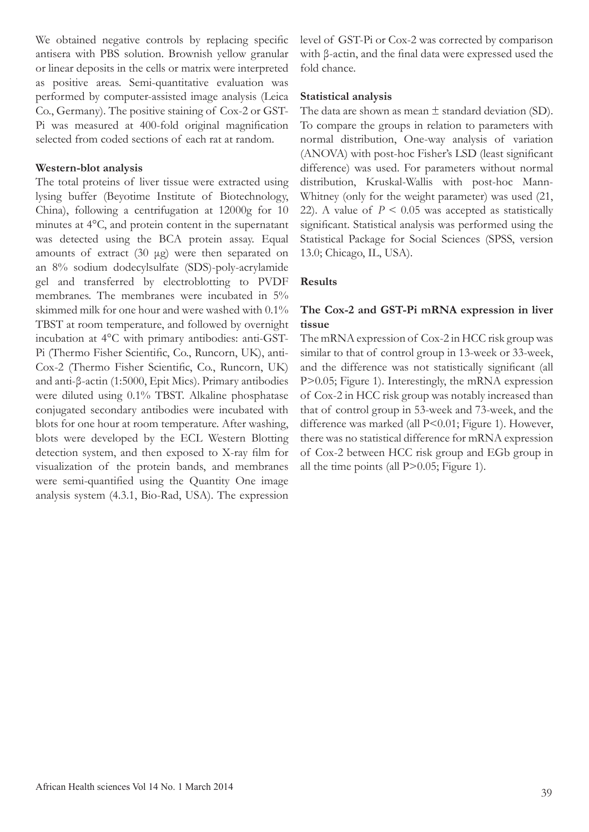We obtained negative controls by replacing specific antisera with PBS solution. Brownish yellow granular or linear deposits in the cells or matrix were interpreted as positive areas. Semi-quantitative evaluation was performed by computer-assisted image analysis (Leica Co., Germany). The positive staining of Cox-2 or GST-Pi was measured at 400-fold original magnification selected from coded sections of each rat at random.

### **Western-blot analysis**

The total proteins of liver tissue were extracted using lysing buffer (Beyotime Institute of Biotechnology, China), following a centrifugation at 12000g for 10 minutes at 4°C, and protein content in the supernatant was detected using the BCA protein assay. Equal amounts of extract (30 μg) were then separated on an 8% sodium dodecylsulfate (SDS)-poly-acrylamide gel and transferred by electroblotting to PVDF membranes. The membranes were incubated in 5% skimmed milk for one hour and were washed with 0.1% TBST at room temperature, and followed by overnight incubation at 4°C with primary antibodies: anti-GST-Pi (Thermo Fisher Scientific, Co., Runcorn, UK), anti-Cox-2 (Thermo Fisher Scientific, Co., Runcorn, UK) and anti-β-actin (1:5000, Epit Mics). Primary antibodies were diluted using 0.1% TBST. Alkaline phosphatase conjugated secondary antibodies were incubated with blots for one hour at room temperature. After washing, blots were developed by the ECL Western Blotting detection system, and then exposed to X-ray film for visualization of the protein bands, and membranes were semi-quantified using the Quantity One image analysis system (4.3.1, Bio-Rad, USA). The expression level of GST-Pi or Cox-2 was corrected by comparison with β-actin, and the final data were expressed used the fold chance.

### **Statistical analysis**

The data are shown as mean  $\pm$  standard deviation (SD). To compare the groups in relation to parameters with normal distribution, One-way analysis of variation (ANOVA) with post-hoc Fisher's LSD (least significant difference) was used. For parameters without normal distribution, Kruskal-Wallis with post-hoc Mann-Whitney (only for the weight parameter) was used (21, 22). A value of  $P < 0.05$  was accepted as statistically significant. Statistical analysis was performed using the Statistical Package for Social Sciences (SPSS, version 13.0; Chicago, IL, USA).

### **Results**

### **The Cox-2 and GST-Pi mRNA expression in liver tissue**

The mRNA expression of Cox-2 in HCC risk group was similar to that of control group in 13-week or 33-week, and the difference was not statistically significant (all P>0.05; Figure 1). Interestingly, the mRNA expression of Cox-2 in HCC risk group was notably increased than that of control group in 53-week and 73-week, and the difference was marked (all P<0.01; Figure 1). However, there was no statistical difference for mRNA expression of Cox-2 between HCC risk group and EGb group in all the time points (all  $P > 0.05$ ; Figure 1).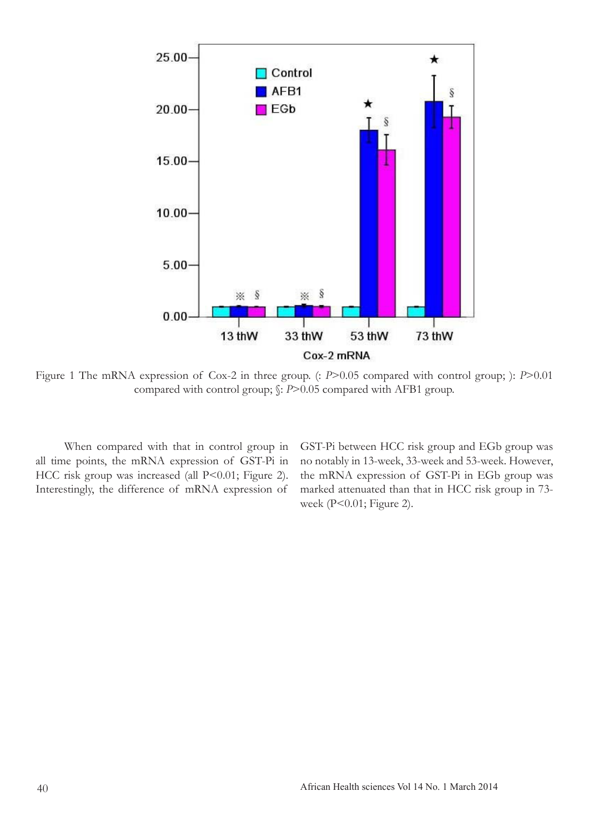

Figure 1 The mRNA expression of Cox-2 in three group. (: *P*>0.05 compared with control group; ): *P*>0.01 compared with control group; §: *P*>0.05 compared with AFB1 group.

 When compared with that in control group in all time points, the mRNA expression of GST-Pi in HCC risk group was increased (all P<0.01; Figure 2). Interestingly, the difference of mRNA expression of

GST-Pi between HCC risk group and EGb group was no notably in 13-week, 33-week and 53-week. However, the mRNA expression of GST-Pi in EGb group was marked attenuated than that in HCC risk group in 73 week (P<0.01; Figure 2).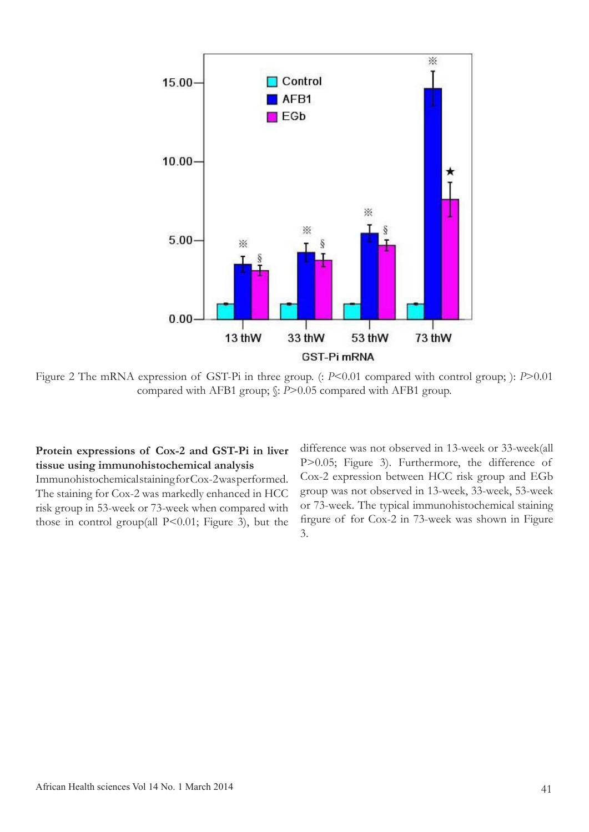

Figure 2 The mRNA expression of GST-Pi in three group. (: *P*<0.01 compared with control group; ): *P*>0.01 compared with AFB1 group; §: *P*>0.05 compared with AFB1 group.

## **Protein expressions of Cox-2 and GST-Pi in liver tissue using immunohistochemical analysis**

Immunohistochemical staining for Cox-2 was performed. The staining for Cox-2 was markedly enhanced in HCC risk group in 53-week or 73-week when compared with those in control group(all P<0.01; Figure 3), but the difference was not observed in 13-week or 33-week(all P>0.05; Figure 3). Furthermore, the difference of Cox-2 expression between HCC risk group and EGb group was not observed in 13-week, 33-week, 53-week or 73-week. The typical immunohistochemical staining firgure of for Cox-2 in 73-week was shown in Figure 3.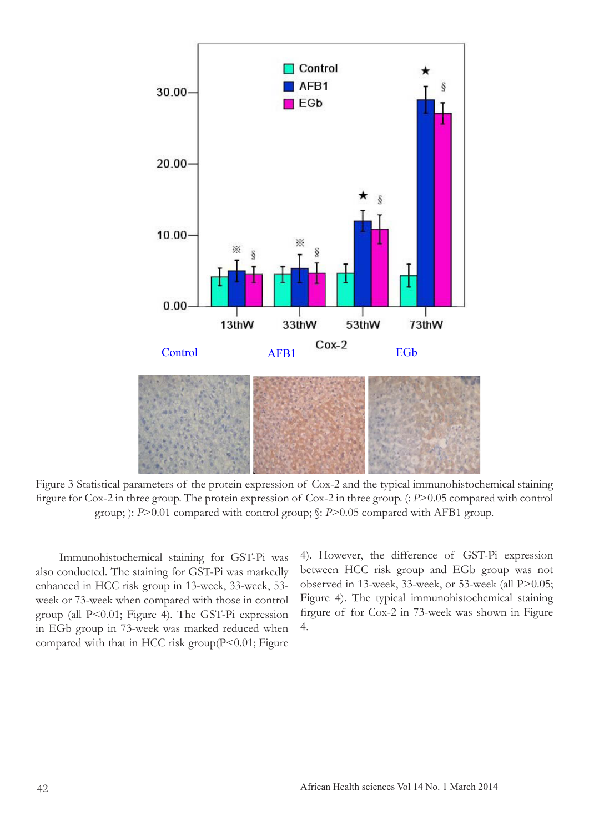

Figure 3 Statistical parameters of the protein expression of Cox-2 and the typical immunohistochemical staining firgure for Cox-2 in three group. The protein expression of Cox-2 in three group. (: *P*>0.05 compared with control group; ): *P*>0.01 compared with control group;  $\frac{C}{2}$ : *P*>0.05 compared with AFB1 group.

Immunohistochemical staining for GST-Pi was also conducted. The staining for GST-Pi was markedly enhanced in HCC risk group in 13-week, 33-week, 53 week or 73-week when compared with those in control group (all P<0.01; Figure 4). The GST-Pi expression in EGb group in 73-week was marked reduced when compared with that in HCC risk group $(P<0.01;$  Figure

4). However, the difference of GST-Pi expression between HCC risk group and EGb group was not observed in 13-week, 33-week, or 53-week (all P>0.05; Figure 4). The typical immunohistochemical staining firgure of for Cox-2 in 73-week was shown in Figure 4.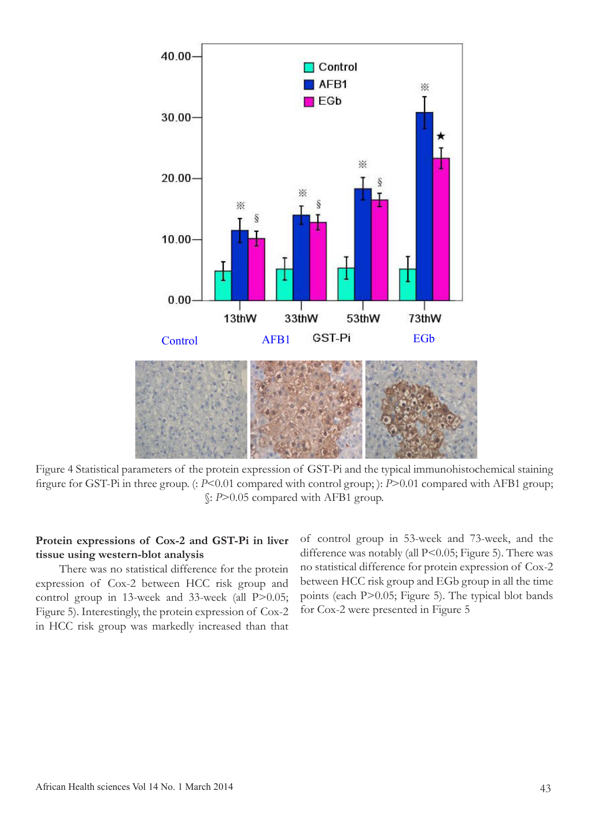

Figure 4 Statistical parameters of the protein expression of GST-Pi and the typical immunohistochemical staining firgure for GST-Pi in three group. (: *P*<0.01 compared with control group; ): *P*>0.01 compared with AFB1 group; §: *P*﹥0.05 compared with AFB1 group.

## **Protein expressions of Cox-2 and GST-Pi in liver tissue using western-blot analysis**

There was no statistical difference for the protein expression of Cox-2 between HCC risk group and control group in 13-week and 33-week (all P $>0.05$ ; Figure 5). Interestingly, the protein expression of Cox-2 in HCC risk group was markedly increased than that of control group in 53-week and 73-week, and the difference was notably (all P<0.05; Figure 5). There was no statistical difference for protein expression of Cox-2 between HCC risk group and EGb group in all the time points (each P>0.05; Figure 5). The typical blot bands for Cox-2 were presented in Figure 5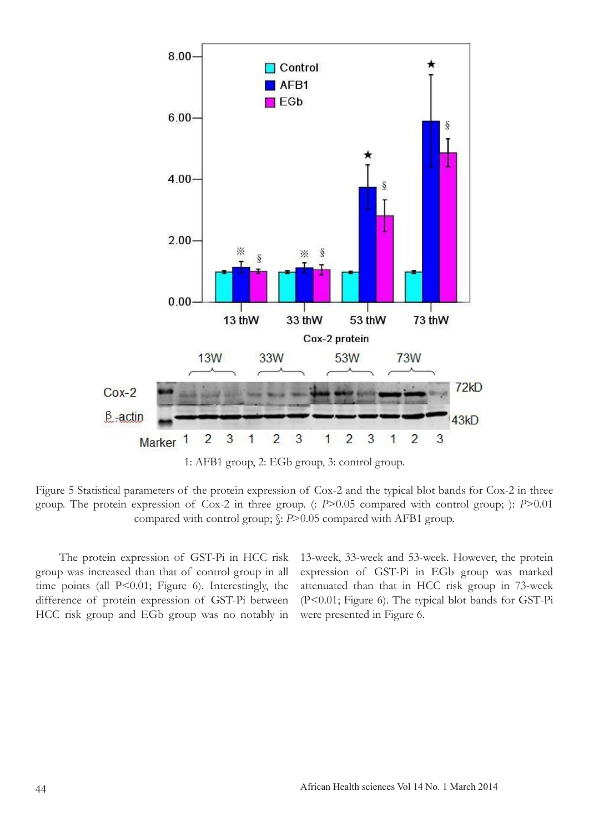

1: AFB1 group, 2: EGb group, 3: control group.

Figure 5 Statistical parameters of the protein expression of Cox-2 and the typical blot bands for Cox-2 in three group. The protein expression of Cox-2 in three group. (: *P*>0.05 compared with control group; ): *P*>0.01 compared with control group;  $\frac{C}{2}$ : *P*>0.05 compared with AFB1 group.

The protein expression of GST-Pi in HCC risk group was increased than that of control group in all time points (all P<0.01; Figure 6). Interestingly, the difference of protein expression of GST-Pi between HCC risk group and EGb group was no notably in

13-week, 33-week and 53-week. However, the protein expression of GST-Pi in EGb group was marked attenuated than that in HCC risk group in 73-week (P<0.01; Figure 6). The typical blot bands for GST-Pi were presented in Figure 6.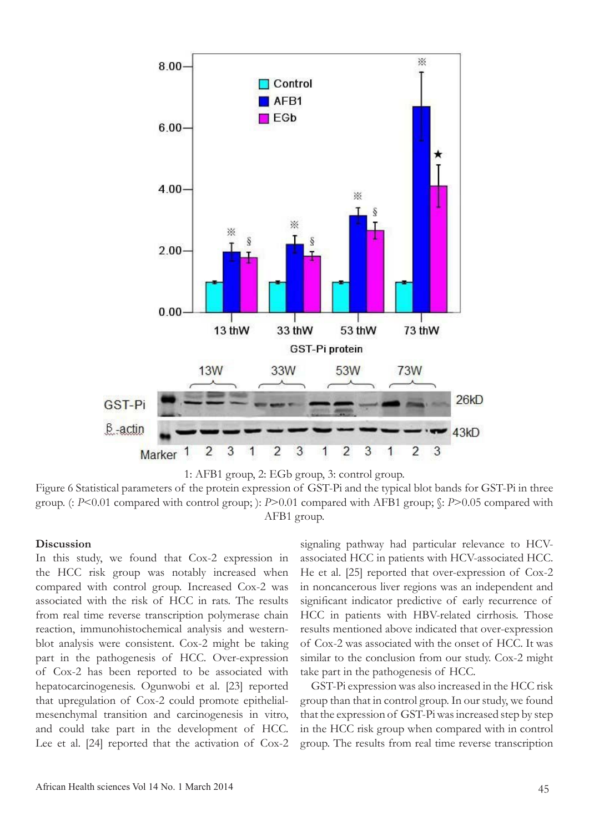



Figure 6 Statistical parameters of the protein expression of GST-Pi and the typical blot bands for GST-Pi in three group. (: *P*<0.01 compared with control group; ): *P*>0.01 compared with AFB1 group; §: *P*﹥0.05 compared with AFB1 group.

#### **Discussion**

In this study, we found that Cox-2 expression in the HCC risk group was notably increased when compared with control group. Increased Cox-2 was associated with the risk of HCC in rats. The results from real time reverse transcription polymerase chain reaction, immunohistochemical analysis and westernblot analysis were consistent. Cox-2 might be taking part in the pathogenesis of HCC. Over-expression of Cox-2 has been reported to be associated with hepatocarcinogenesis. Ogunwobi et al. [23] reported that upregulation of Cox-2 could promote epithelialmesenchymal transition and carcinogenesis in vitro, and could take part in the development of HCC. Lee et al. [24] reported that the activation of Cox-2

signaling pathway had particular relevance to HCVassociated HCC in patients with HCV-associated HCC. He et al. [25] reported that over-expression of Cox-2 in noncancerous liver regions was an independent and significant indicator predictive of early recurrence of HCC in patients with HBV-related cirrhosis. Those results mentioned above indicated that over-expression of Cox-2 was associated with the onset of HCC. It was similar to the conclusion from our study. Cox-2 might take part in the pathogenesis of HCC.

 GST-Pi expression was also increased in the HCC risk group than that in control group. In our study, we found that the expression of GST-Pi was increased step by step in the HCC risk group when compared with in control group. The results from real time reverse transcription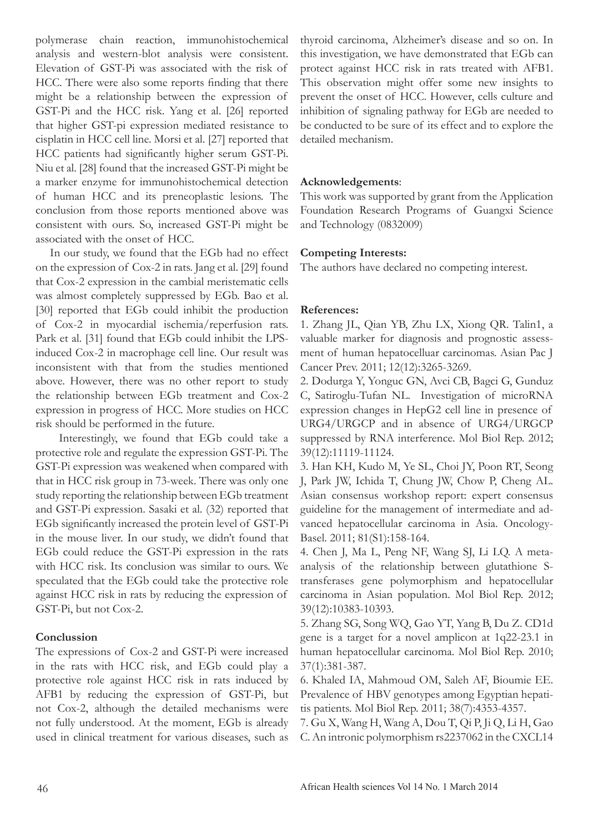polymerase chain reaction, immunohistochemical analysis and western-blot analysis were consistent. Elevation of GST-Pi was associated with the risk of HCC. There were also some reports finding that there might be a relationship between the expression of GST-Pi and the HCC risk. Yang et al. [26] reported that higher GST-pi expression mediated resistance to cisplatin in HCC cell line. Morsi et al. [27] reported that HCC patients had significantly higher serum GST-Pi. Niu et al. [28] found that the increased GST-Pi might be a marker enzyme for immunohistochemical detection of human HCC and its preneoplastic lesions. The conclusion from those reports mentioned above was consistent with ours. So, increased GST-Pi might be associated with the onset of HCC.

 In our study, we found that the EGb had no effect on the expression of Cox-2 in rats. Jang et al. [29] found that Cox-2 expression in the cambial meristematic cells was almost completely suppressed by EGb. Bao et al. [30] reported that EGb could inhibit the production of Cox-2 in myocardial ischemia/reperfusion rats. Park et al. [31] found that EGb could inhibit the LPSinduced Cox-2 in macrophage cell line. Our result was inconsistent with that from the studies mentioned above. However, there was no other report to study the relationship between EGb treatment and Cox-2 expression in progress of HCC. More studies on HCC risk should be performed in the future.

 Interestingly, we found that EGb could take a protective role and regulate the expression GST-Pi. The GST-Pi expression was weakened when compared with that in HCC risk group in 73-week. There was only one study reporting the relationship between EGb treatment and GST-Pi expression. Sasaki et al. (32) reported that EGb significantly increased the protein level of GST-Pi in the mouse liver. In our study, we didn't found that EGb could reduce the GST-Pi expression in the rats with HCC risk. Its conclusion was similar to ours. We speculated that the EGb could take the protective role against HCC risk in rats by reducing the expression of GST-Pi, but not Cox-2.

### **Conclussion**

The expressions of Cox-2 and GST-Pi were increased in the rats with HCC risk, and EGb could play a protective role against HCC risk in rats induced by AFB1 by reducing the expression of GST-Pi, but not Cox-2, although the detailed mechanisms were not fully understood. At the moment, EGb is already used in clinical treatment for various diseases, such as

thyroid carcinoma, Alzheimer's disease and so on. In this investigation, we have demonstrated that EGb can protect against HCC risk in rats treated with AFB1. This observation might offer some new insights to prevent the onset of HCC. However, cells culture and inhibition of signaling pathway for EGb are needed to be conducted to be sure of its effect and to explore the detailed mechanism.

### **Acknowledgements**:

This work was supported by grant from the Application Foundation Research Programs of Guangxi Science and Technology (0832009)

### **Competing Interests:**

The authors have declared no competing interest.

### **References:**

1. Zhang JL, Qian YB, Zhu LX, Xiong QR. Talin1, a valuable marker for diagnosis and prognostic assessment of human hepatocelluar carcinomas. Asian Pac J Cancer Prev. 2011; 12(12):3265-3269.

2. Dodurga Y, Yonguc GN, Avci CB, Bagci G, Gunduz C, Satiroglu-Tufan NL. Investigation of microRNA expression changes in HepG2 cell line in presence of URG4/URGCP and in absence of URG4/URGCP suppressed by RNA interference. Mol Biol Rep. 2012; 39(12):11119-11124.

3. Han KH, Kudo M, Ye SL, Choi JY, Poon RT, Seong J, Park JW, Ichida T, Chung JW, Chow P, Cheng AL. Asian consensus workshop report: expert consensus guideline for the management of intermediate and advanced hepatocellular carcinoma in Asia. Oncology-Basel. 2011; 81(S1):158-164.

4. Chen J, Ma L, Peng NF, Wang SJ, Li LQ. A metaanalysis of the relationship between glutathione Stransferases gene polymorphism and hepatocellular carcinoma in Asian population. Mol Biol Rep. 2012; 39(12):10383-10393.

5. Zhang SG, Song WQ, Gao YT, Yang B, Du Z. CD1d gene is a target for a novel amplicon at 1q22-23.1 in human hepatocellular carcinoma. Mol Biol Rep. 2010; 37(1):381-387.

6. Khaled IA, Mahmoud OM, Saleh AF, Bioumie EE. Prevalence of HBV genotypes among Egyptian hepatitis patients. Mol Biol Rep. 2011; 38(7):4353-4357.

7. Gu X, Wang H, Wang A, Dou T, Qi P, Ji Q, Li H, Gao C. An intronic polymorphism rs2237062 in the CXCL14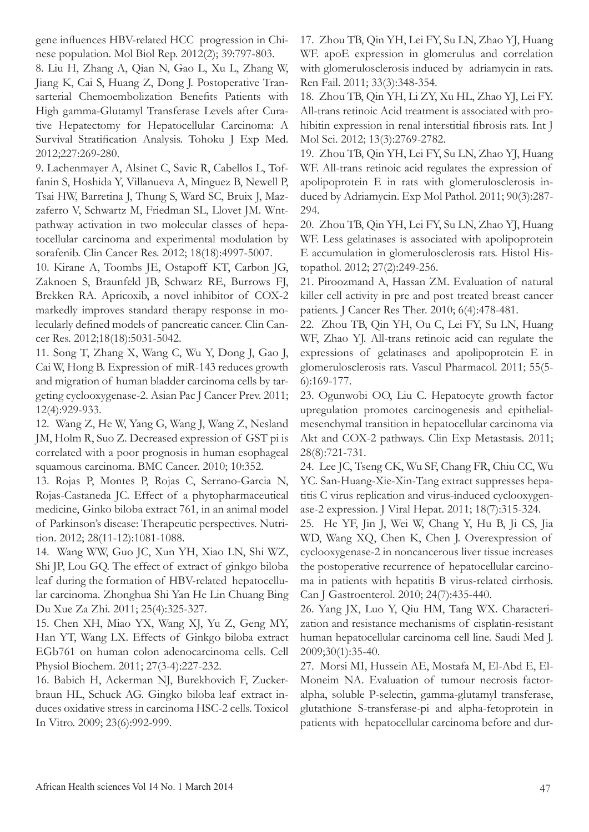gene influences HBV-related HCC progression in Chinese population. Mol Biol Rep. 2012(2); 39:797-803.

8. Liu H, Zhang A, Qian N, Gao L, Xu L, Zhang W, Jiang K, Cai S, Huang Z, Dong J. Postoperative Transarterial Chemoembolization Benefits Patients with High gamma-Glutamyl Transferase Levels after Curative Hepatectomy for Hepatocellular Carcinoma: A Survival Stratification Analysis. Tohoku J Exp Med. 2012;227:269-280.

9. Lachenmayer A, Alsinet C, Savic R, Cabellos L, Toffanin S, Hoshida Y, Villanueva A, Minguez B, Newell P, Tsai HW, Barretina J, Thung S, Ward SC, Bruix J, Mazzaferro V, Schwartz M, Friedman SL, Llovet JM. Wntpathway activation in two molecular classes of hepatocellular carcinoma and experimental modulation by sorafenib. Clin Cancer Res. 2012; 18(18):4997-5007.

10. Kirane A, Toombs JE, Ostapoff KT, Carbon JG, Zaknoen S, Braunfeld JB, Schwarz RE, Burrows FJ, Brekken RA. Apricoxib, a novel inhibitor of COX-2 markedly improves standard therapy response in molecularly defined models of pancreatic cancer. Clin Cancer Res. 2012;18(18):5031-5042.

11. Song T, Zhang X, Wang C, Wu Y, Dong J, Gao J, Cai W, Hong B. Expression of miR-143 reduces growth and migration of human bladder carcinoma cells by targeting cyclooxygenase-2. Asian Pac J Cancer Prev. 2011; 12(4):929-933.

12. Wang Z, He W, Yang G, Wang J, Wang Z, Nesland JM, Holm R, Suo Z. Decreased expression of GST pi is correlated with a poor prognosis in human esophageal squamous carcinoma. BMC Cancer. 2010; 10:352.

13. Rojas P, Montes P, Rojas C, Serrano-Garcia N, Rojas-Castaneda JC. Effect of a phytopharmaceutical medicine, Ginko biloba extract 761, in an animal model of Parkinson's disease: Therapeutic perspectives. Nutrition. 2012; 28(11-12):1081-1088.

14. Wang WW, Guo JC, Xun YH, Xiao LN, Shi WZ, Shi JP, Lou GQ. The effect of extract of ginkgo biloba leaf during the formation of HBV-related hepatocellular carcinoma. Zhonghua Shi Yan He Lin Chuang Bing Du Xue Za Zhi. 2011; 25(4):325-327.

15. Chen XH, Miao YX, Wang XJ, Yu Z, Geng MY, Han YT, Wang LX. Effects of Ginkgo biloba extract EGb761 on human colon adenocarcinoma cells. Cell Physiol Biochem. 2011; 27(3-4):227-232.

16. Babich H, Ackerman NJ, Burekhovich F, Zuckerbraun HL, Schuck AG. Gingko biloba leaf extract induces oxidative stress in carcinoma HSC-2 cells. Toxicol In Vitro. 2009; 23(6):992-999.

17. Zhou TB, Qin YH, Lei FY, Su LN, Zhao YJ, Huang WF. apoE expression in glomerulus and correlation with glomerulosclerosis induced by adriamycin in rats. Ren Fail. 2011; 33(3):348-354.

18. Zhou TB, Qin YH, Li ZY, Xu HL, Zhao YJ, Lei FY. All-trans retinoic Acid treatment is associated with prohibitin expression in renal interstitial fibrosis rats. Int J Mol Sci. 2012; 13(3):2769-2782.

19. Zhou TB, Qin YH, Lei FY, Su LN, Zhao YJ, Huang WF. All-trans retinoic acid regulates the expression of apolipoprotein E in rats with glomerulosclerosis induced by Adriamycin. Exp Mol Pathol. 2011; 90(3):287- 294.

20. Zhou TB, Qin YH, Lei FY, Su LN, Zhao YJ, Huang WF. Less gelatinases is associated with apolipoprotein E accumulation in glomerulosclerosis rats. Histol Histopathol. 2012; 27(2):249-256.

21. Piroozmand A, Hassan ZM. Evaluation of natural killer cell activity in pre and post treated breast cancer patients. J Cancer Res Ther. 2010; 6(4):478-481.

22. Zhou TB, Qin YH, Ou C, Lei FY, Su LN, Huang WF, Zhao YJ. All-trans retinoic acid can regulate the expressions of gelatinases and apolipoprotein E in glomerulosclerosis rats. Vascul Pharmacol. 2011; 55(5- 6):169-177.

23. Ogunwobi OO, Liu C. Hepatocyte growth factor upregulation promotes carcinogenesis and epithelialmesenchymal transition in hepatocellular carcinoma via Akt and COX-2 pathways. Clin Exp Metastasis. 2011; 28(8):721-731.

24. Lee JC, Tseng CK, Wu SF, Chang FR, Chiu CC, Wu YC. San-Huang-Xie-Xin-Tang extract suppresses hepatitis C virus replication and virus-induced cyclooxygenase-2 expression. J Viral Hepat. 2011; 18(7):315-324.

25. He YF, Jin J, Wei W, Chang Y, Hu B, Ji CS, Jia WD, Wang XQ, Chen K, Chen J. Overexpression of cyclooxygenase-2 in noncancerous liver tissue increases the postoperative recurrence of hepatocellular carcinoma in patients with hepatitis B virus-related cirrhosis. Can J Gastroenterol. 2010; 24(7):435-440.

26. Yang JX, Luo Y, Qiu HM, Tang WX. Characterization and resistance mechanisms of cisplatin-resistant human hepatocellular carcinoma cell line. Saudi Med J. 2009;30(1):35-40.

27. Morsi MI, Hussein AE, Mostafa M, El-Abd E, El-Moneim NA. Evaluation of tumour necrosis factoralpha, soluble P-selectin, gamma-glutamyl transferase, glutathione S-transferase-pi and alpha-fetoprotein in patients with hepatocellular carcinoma before and dur